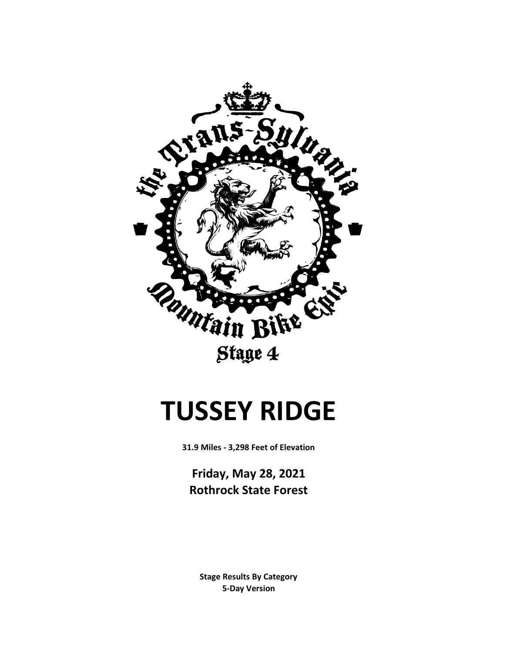

# **TUSSEY RIDGE**

**31.9 Miles - 3,298 Feet of Elevation**

**Friday, May 28, 2021 Rothrock State Forest**

**5-Day Version Stage Results By Category**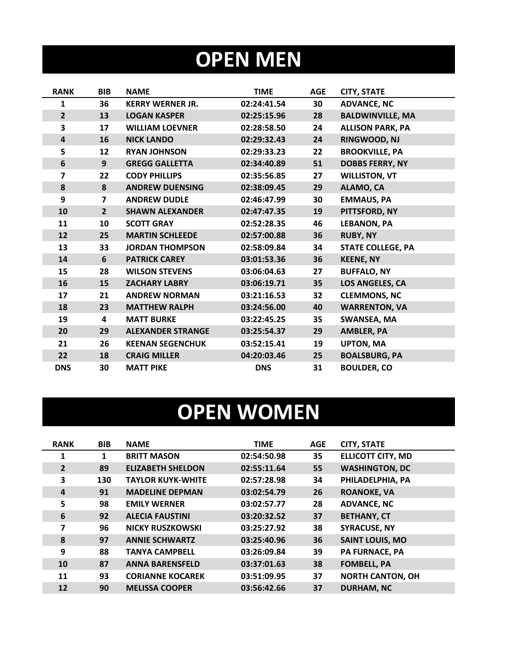## **OPEN MEN**

| <b>RANK</b>             | <b>BIB</b>     | <b>NAME</b>              | <b>TIME</b> | <b>AGE</b> | <b>CITY, STATE</b>       |
|-------------------------|----------------|--------------------------|-------------|------------|--------------------------|
| $\mathbf{1}$            | 36             | <b>KERRY WERNER JR.</b>  | 02:24:41.54 | 30         | <b>ADVANCE, NC</b>       |
| $\overline{2}$          | 13             | <b>LOGAN KASPER</b>      | 02:25:15.96 | 28         | <b>BALDWINVILLE, MA</b>  |
| 3                       | 17             | <b>WILLIAM LOEVNER</b>   | 02:28:58.50 | 24         | <b>ALLISON PARK, PA</b>  |
| $\overline{4}$          | 16             | <b>NICK LANDO</b>        | 02:29:32.43 | 24         | RINGWOOD, NJ             |
| 5                       | 12             | <b>RYAN JOHNSON</b>      | 02:29:33.23 | 22         | <b>BROOKVILLE, PA</b>    |
| 6                       | 9              | <b>GREGG GALLETTA</b>    | 02:34:40.89 | 51         | <b>DOBBS FERRY, NY</b>   |
| $\overline{\mathbf{z}}$ | 22             | <b>CODY PHILLIPS</b>     | 02:35:56.85 | 27         | <b>WILLISTON, VT</b>     |
| 8                       | 8              | <b>ANDREW DUENSING</b>   | 02:38:09.45 | 29         | ALAMO, CA                |
| 9                       | $\overline{7}$ | <b>ANDREW DUDLE</b>      | 02:46:47.99 | 30         | <b>EMMAUS, PA</b>        |
| 10                      | $\overline{2}$ | <b>SHAWN ALEXANDER</b>   | 02:47:47.35 | 19         | PITTSFORD, NY            |
| 11                      | 10             | <b>SCOTT GRAY</b>        | 02:52:28.35 | 46         | <b>LEBANON, PA</b>       |
| 12                      | 25             | <b>MARTIN SCHLEEDE</b>   | 02:57:00.88 | 36         | <b>RUBY, NY</b>          |
| 13                      | 33             | <b>JORDAN THOMPSON</b>   | 02:58:09.84 | 34         | <b>STATE COLLEGE, PA</b> |
| 14                      | 6              | <b>PATRICK CAREY</b>     | 03:01:53.36 | 36         | <b>KEENE, NY</b>         |
| 15                      | 28             | <b>WILSON STEVENS</b>    | 03:06:04.63 | 27         | <b>BUFFALO, NY</b>       |
| 16                      | 15             | <b>ZACHARY LABRY</b>     | 03:06:19.71 | 35         | <b>LOS ANGELES, CA</b>   |
| 17                      | 21             | <b>ANDREW NORMAN</b>     | 03:21:16.53 | 32         | <b>CLEMMONS, NC</b>      |
| 18                      | 23             | <b>MATTHEW RALPH</b>     | 03:24:56.00 | 40         | <b>WARRENTON, VA</b>     |
| 19                      | 4              | <b>MATT BURKE</b>        | 03:22:45.25 | 35         | <b>SWANSEA, MA</b>       |
| 20                      | 29             | <b>ALEXANDER STRANGE</b> | 03:25:54.37 | 29         | <b>AMBLER, PA</b>        |
| 21                      | 26             | <b>KEENAN SEGENCHUK</b>  | 03:52:15.41 | 19         | <b>UPTON, MA</b>         |
| 22                      | 18             | <b>CRAIG MILLER</b>      | 04:20:03.46 | 25         | <b>BOALSBURG, PA</b>     |
| <b>DNS</b>              | 30             | <b>MATT PIKE</b>         | <b>DNS</b>  | 31         | <b>BOULDER, CO</b>       |

## **OPEN WOMEN**

| <b>RANK</b>    | <b>BIB</b> | <b>NAME</b>              | <b>TIME</b> | <b>AGE</b> | <b>CITY, STATE</b>       |
|----------------|------------|--------------------------|-------------|------------|--------------------------|
| 1              | 1          | <b>BRITT MASON</b>       | 02:54:50.98 | 35         | <b>ELLICOTT CITY, MD</b> |
| $\overline{2}$ | 89         | <b>ELIZABETH SHELDON</b> | 02:55:11.64 | 55         | <b>WASHINGTON, DC</b>    |
| 3              | 130        | <b>TAYLOR KUYK-WHITE</b> | 02:57:28.98 | 34         | PHILADELPHIA, PA         |
| 4              | 91         | <b>MADELINE DEPMAN</b>   | 03:02:54.79 | 26         | <b>ROANOKE, VA</b>       |
| 5              | 98         | <b>EMILY WERNER</b>      | 03:02:57.77 | 28         | <b>ADVANCE, NC</b>       |
| 6              | 92         | <b>ALECIA FAUSTINI</b>   | 03:20:32.52 | 37         | <b>BETHANY, CT</b>       |
| 7              | 96         | <b>NICKY RUSZKOWSKI</b>  | 03:25:27.92 | 38         | <b>SYRACUSE, NY</b>      |
| 8              | 97         | <b>ANNIE SCHWARTZ</b>    | 03:25:40.96 | 36         | <b>SAINT LOUIS, MO</b>   |
| 9              | 88         | <b>TANYA CAMPBELL</b>    | 03:26:09.84 | 39         | <b>PA FURNACE, PA</b>    |
| 10             | 87         | <b>ANNA BARENSFELD</b>   | 03:37:01.63 | 38         | <b>FOMBELL, PA</b>       |
| 11             | 93         | <b>CORIANNE KOCAREK</b>  | 03:51:09.95 | 37         | <b>NORTH CANTON, OH</b>  |
| 12             | 90         | <b>MELISSA COOPER</b>    | 03:56:42.66 | 37         | <b>DURHAM, NC</b>        |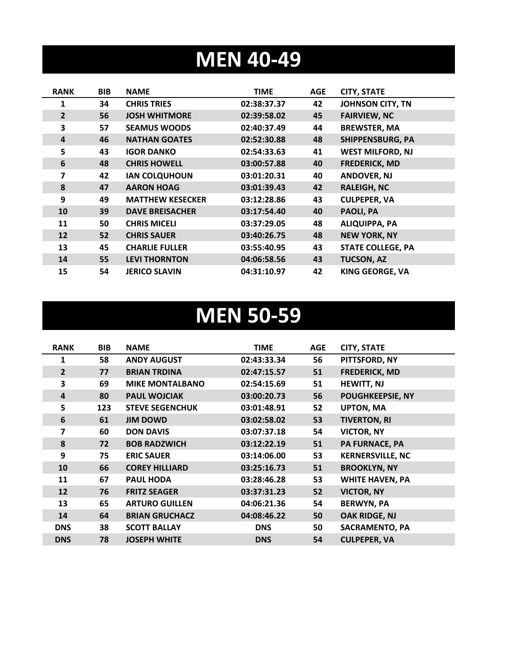### **MEN 40-49**

| <b>RANK</b>    | <b>BIB</b> | <b>NAME</b>             | <b>TIME</b> | <b>AGE</b> | <b>CITY, STATE</b>       |
|----------------|------------|-------------------------|-------------|------------|--------------------------|
| 1              | 34         | <b>CHRIS TRIES</b>      | 02:38:37.37 | 42         | JOHNSON CITY, TN         |
| $\overline{2}$ | 56         | <b>JOSH WHITMORE</b>    | 02:39:58.02 | 45         | <b>FAIRVIEW, NC</b>      |
| 3              | 57         | <b>SEAMUS WOODS</b>     | 02:40:37.49 | 44         | <b>BREWSTER, MA</b>      |
| 4              | 46         | <b>NATHAN GOATES</b>    | 02:52:30.88 | 48         | <b>SHIPPENSBURG, PA</b>  |
| 5              | 43         | <b>IGOR DANKO</b>       | 02:54:33.63 | 41         | <b>WEST MILFORD, NJ</b>  |
| 6              | 48         | <b>CHRIS HOWELL</b>     | 03:00:57.88 | 40         | <b>FREDERICK, MD</b>     |
| 7              | 42         | <b>IAN COLQUHOUN</b>    | 03:01:20.31 | 40         | <b>ANDOVER, NJ</b>       |
| 8              | 47         | <b>AARON HOAG</b>       | 03:01:39.43 | 42         | <b>RALEIGH, NC</b>       |
| 9              | 49         | <b>MATTHEW KESECKER</b> | 03:12:28.86 | 43         | <b>CULPEPER, VA</b>      |
| 10             | 39         | <b>DAVE BREISACHER</b>  | 03:17:54.40 | 40         | PAOLI, PA                |
| 11             | 50         | <b>CHRIS MICELI</b>     | 03:37:29.05 | 48         | <b>ALIQUIPPA, PA</b>     |
| 12             | 52         | <b>CHRIS SAUER</b>      | 03:40:26.75 | 48         | <b>NEW YORK, NY</b>      |
| 13             | 45         | <b>CHARLIE FULLER</b>   | 03:55:40.95 | 43         | <b>STATE COLLEGE, PA</b> |
| 14             | 55         | <b>LEVI THORNTON</b>    | 04:06:58.56 | 43         | <b>TUCSON, AZ</b>        |
| 15             | 54         | <b>JERICO SLAVIN</b>    | 04:31:10.97 | 42         | <b>KING GEORGE, VA</b>   |

#### **MEN 50-59**

| <b>RANK</b>    | <b>BIB</b> | <b>NAME</b>            | <b>TIME</b> | AGE | <b>CITY, STATE</b>      |
|----------------|------------|------------------------|-------------|-----|-------------------------|
| 1              | 58         | <b>ANDY AUGUST</b>     | 02:43:33.34 | 56  | PITTSFORD, NY           |
| $\overline{2}$ | 77         | <b>BRIAN TRDINA</b>    | 02:47:15.57 | 51  | <b>FREDERICK, MD</b>    |
| 3              | 69         | <b>MIKE MONTALBANO</b> | 02:54:15.69 | 51  | <b>HEWITT, NJ</b>       |
| $\overline{4}$ | 80         | <b>PAUL WOJCIAK</b>    | 03:00:20.73 | 56  | <b>POUGHKEEPSIE, NY</b> |
| 5              | 123        | <b>STEVE SEGENCHUK</b> | 03:01:48.91 | 52  | <b>UPTON, MA</b>        |
| 6              | 61         | <b>JIM DOWD</b>        | 03:02:58.02 | 53  | <b>TIVERTON, RI</b>     |
| 7              | 60         | <b>DON DAVIS</b>       | 03:07:37.18 | 54  | <b>VICTOR, NY</b>       |
| 8              | 72         | <b>BOB RADZWICH</b>    | 03:12:22.19 | 51  | <b>PA FURNACE, PA</b>   |
| 9              | 75         | <b>ERIC SAUER</b>      | 03:14:06.00 | 53  | <b>KERNERSVILLE, NC</b> |
| 10             | 66         | <b>COREY HILLIARD</b>  | 03:25:16.73 | 51  | <b>BROOKLYN, NY</b>     |
| 11             | 67         | <b>PAUL HODA</b>       | 03:28:46.28 | 53  | <b>WHITE HAVEN, PA</b>  |
| 12             | 76         | <b>FRITZ SEAGER</b>    | 03:37:31.23 | 52  | <b>VICTOR, NY</b>       |
| 13             | 65         | <b>ARTURO GUILLEN</b>  | 04:06:21.36 | 54  | <b>BERWYN, PA</b>       |
| 14             | 64         | <b>BRIAN GRUCHACZ</b>  | 04:08:46.22 | 50  | OAK RIDGE, NJ           |
| <b>DNS</b>     | 38         | <b>SCOTT BALLAY</b>    | <b>DNS</b>  | 50  | <b>SACRAMENTO, PA</b>   |
| <b>DNS</b>     | 78         | <b>JOSEPH WHITE</b>    | <b>DNS</b>  | 54  | <b>CULPEPER, VA</b>     |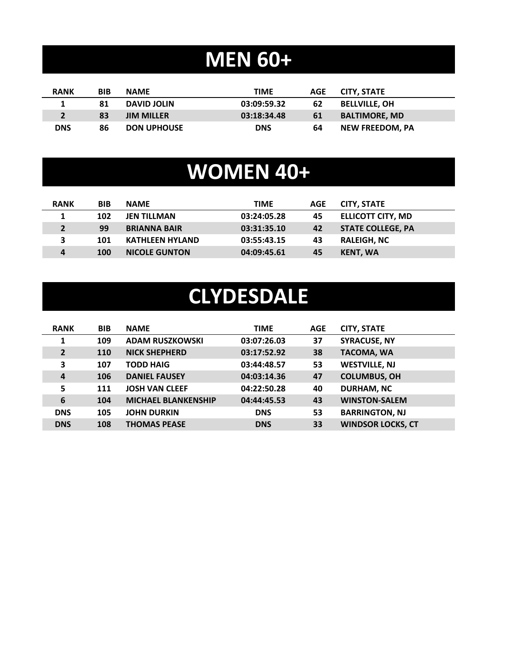### **MEN 60+**

| <b>RANK</b> | BIB | <b>NAME</b>        | <b>TIME</b> | AGE | CITY. STATE            |
|-------------|-----|--------------------|-------------|-----|------------------------|
|             | 81  | <b>DAVID JOLIN</b> | 03:09:59.32 | 62  | <b>BELLVILLE, OH</b>   |
|             | 83  | <b>JIM MILLER</b>  | 03:18:34.48 | 61  | <b>BALTIMORE, MD</b>   |
| <b>DNS</b>  | 86  | <b>DON UPHOUSE</b> | <b>DNS</b>  | 64  | <b>NEW FREEDOM. PA</b> |

### **WOMEN 40+**

| <b>RANK</b>  | <b>BIB</b> | <b>NAME</b>            | <b>TIME</b> | AGE | <b>CITY, STATE</b>       |
|--------------|------------|------------------------|-------------|-----|--------------------------|
|              | 102        | <b>JEN TILLMAN</b>     | 03:24:05.28 | 45  | <b>ELLICOTT CITY, MD</b> |
| $2^{\circ}$  | 99         | <b>BRIANNA BAIR</b>    | 03:31:35.10 | 42  | <b>STATE COLLEGE, PA</b> |
| $\mathbf{3}$ | 101        | <b>KATHLEEN HYLAND</b> | 03:55:43.15 | 43  | <b>RALEIGH, NC</b>       |
| 4            | 100        | <b>NICOLE GUNTON</b>   | 04:09:45.61 | 45  | <b>KENT, WA</b>          |

### **CLYDESDALE**

| <b>RANK</b>    | <b>BIB</b> | <b>NAME</b>                | <b>TIME</b> | <b>AGE</b> | <b>CITY, STATE</b>       |
|----------------|------------|----------------------------|-------------|------------|--------------------------|
| 1              | 109        | <b>ADAM RUSZKOWSKI</b>     | 03:07:26.03 | 37         | <b>SYRACUSE, NY</b>      |
| $\overline{2}$ | <b>110</b> | <b>NICK SHEPHERD</b>       | 03:17:52.92 | 38         | <b>TACOMA, WA</b>        |
| 3              | 107        | <b>TODD HAIG</b>           | 03:44:48.57 | 53         | <b>WESTVILLE, NJ</b>     |
| $\overline{a}$ | 106        | <b>DANIEL FAUSEY</b>       | 04:03:14.36 | 47         | <b>COLUMBUS, OH</b>      |
| 5              | 111        | <b>JOSH VAN CLEEF</b>      | 04:22:50.28 | 40         | <b>DURHAM, NC</b>        |
| 6              | 104        | <b>MICHAEL BLANKENSHIP</b> | 04:44:45.53 | 43         | <b>WINSTON-SALEM</b>     |
| <b>DNS</b>     | 105        | <b>JOHN DURKIN</b>         | <b>DNS</b>  | 53         | <b>BARRINGTON, NJ</b>    |
| <b>DNS</b>     | 108        | <b>THOMAS PEASE</b>        | <b>DNS</b>  | 33         | <b>WINDSOR LOCKS, CT</b> |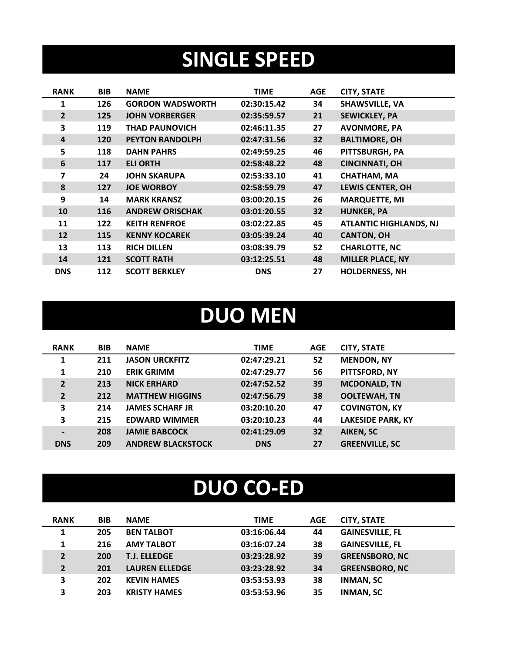### **SINGLE SPEED**

| <b>RANK</b>    | <b>BIB</b> | <b>NAME</b>             | <b>TIME</b> | <b>AGE</b> | <b>CITY, STATE</b>            |
|----------------|------------|-------------------------|-------------|------------|-------------------------------|
| 1              | 126        | <b>GORDON WADSWORTH</b> | 02:30:15.42 | 34         | <b>SHAWSVILLE, VA</b>         |
| $\overline{2}$ | 125        | <b>JOHN VORBERGER</b>   | 02:35:59.57 | 21         | <b>SEWICKLEY, PA</b>          |
| 3              | 119        | <b>THAD PAUNOVICH</b>   | 02:46:11.35 | 27         | <b>AVONMORE, PA</b>           |
| 4              | 120        | <b>PEYTON RANDOLPH</b>  | 02:47:31.56 | 32         | <b>BALTIMORE, OH</b>          |
| 5              | 118        | <b>DAHN PAHRS</b>       | 02:49:59.25 | 46         | PITTSBURGH, PA                |
| 6              | 117        | <b>ELI ORTH</b>         | 02:58:48.22 | 48         | <b>CINCINNATI, OH</b>         |
| 7              | 24         | <b>JOHN SKARUPA</b>     | 02:53:33.10 | 41         | <b>CHATHAM, MA</b>            |
| 8              | 127        | <b>JOE WORBOY</b>       | 02:58:59.79 | 47         | <b>LEWIS CENTER, OH</b>       |
| 9              | 14         | <b>MARK KRANSZ</b>      | 03:00:20.15 | 26         | <b>MARQUETTE, MI</b>          |
| 10             | 116        | <b>ANDREW ORISCHAK</b>  | 03:01:20.55 | 32         | <b>HUNKER, PA</b>             |
| 11             | 122        | <b>KEITH RENFROE</b>    | 03:02:22.85 | 45         | <b>ATLANTIC HIGHLANDS, NJ</b> |
| 12             | 115        | <b>KENNY KOCAREK</b>    | 03:05:39.24 | 40         | <b>CANTON, OH</b>             |
| 13             | 113        | <b>RICH DILLEN</b>      | 03:08:39.79 | 52         | <b>CHARLOTTE, NC</b>          |
| 14             | 121        | <b>SCOTT RATH</b>       | 03:12:25.51 | 48         | <b>MILLER PLACE, NY</b>       |
| <b>DNS</b>     | 112        | <b>SCOTT BERKLEY</b>    | <b>DNS</b>  | 27         | <b>HOLDERNESS, NH</b>         |

#### **DUO MEN**

| <b>RANK</b>    | <b>BIB</b> | <b>NAME</b>              | <b>TIME</b> | <b>AGE</b> | <b>CITY, STATE</b>       |
|----------------|------------|--------------------------|-------------|------------|--------------------------|
| 1              | 211        | <b>JASON URCKFITZ</b>    | 02:47:29.21 | 52         | <b>MENDON, NY</b>        |
| 1              | 210        | <b>ERIK GRIMM</b>        | 02:47:29.77 | 56         | PITTSFORD, NY            |
| $\overline{2}$ | 213        | <b>NICK ERHARD</b>       | 02:47:52.52 | 39         | <b>MCDONALD, TN</b>      |
| $\overline{2}$ | 212        | <b>MATTHEW HIGGINS</b>   | 02:47:56.79 | 38         | <b>OOLTEWAH, TN</b>      |
| 3              | 214        | <b>JAMES SCHARF JR</b>   | 03:20:10.20 | 47         | <b>COVINGTON, KY</b>     |
| 3              | 215        | <b>EDWARD WIMMER</b>     | 03:20:10.23 | 44         | <b>LAKESIDE PARK, KY</b> |
| $\blacksquare$ | 208        | <b>JAMIE BABCOCK</b>     | 02:41:29.09 | 32         | <b>AIKEN, SC</b>         |
| <b>DNS</b>     | 209        | <b>ANDREW BLACKSTOCK</b> | <b>DNS</b>  | 27         | <b>GREENVILLE, SC</b>    |

### **DUO CO-ED**

| <b>RANK</b>    | <b>BIB</b> | <b>NAME</b>           | <b>TIME</b> | <b>AGE</b> | <b>CITY, STATE</b>     |
|----------------|------------|-----------------------|-------------|------------|------------------------|
| 1              | 205        | <b>BEN TALBOT</b>     | 03:16:06.44 | 44         | <b>GAINESVILLE, FL</b> |
| 1              | 216        | <b>AMY TALBOT</b>     | 03:16:07.24 | 38         | <b>GAINESVILLE, FL</b> |
| $\overline{2}$ | 200        | <b>T.J. ELLEDGE</b>   | 03:23:28.92 | 39         | <b>GREENSBORO, NC</b>  |
| $\overline{2}$ | 201        | <b>LAUREN ELLEDGE</b> | 03:23:28.92 | 34         | <b>GREENSBORO, NC</b>  |
| 3              | 202        | <b>KEVIN HAMES</b>    | 03:53:53.93 | 38         | <b>INMAN, SC</b>       |
| 3              | 203        | <b>KRISTY HAMES</b>   | 03:53:53.96 | 35         | <b>INMAN, SC</b>       |